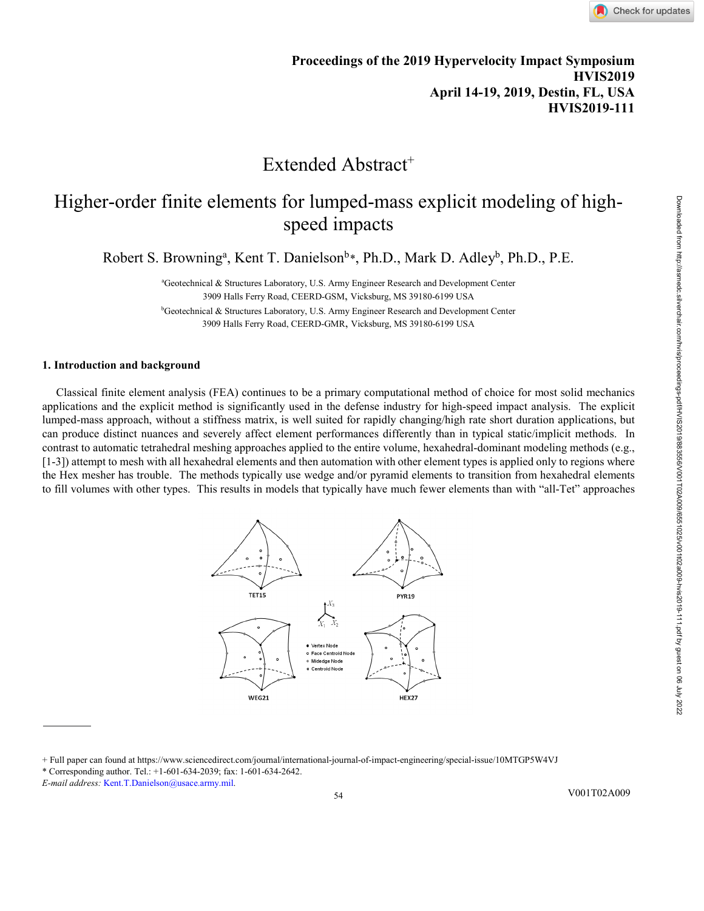# Extended Abstract<sup>+</sup>

# Higher-order finite elements for lumped-mass explicit modeling of highspeed impacts

Robert S. Browning<sup>a</sup>, Kent T. Danielson<sup>b</sup>[\\*](#page-0-0), Ph.D., Mark D. Adley<sup>b</sup>, Ph.D., P.E.

a Geotechnical & Structures Laboratory, U.S. Army Engineer Research and Development Center 3909 Halls Ferry Road, CEERD-GSM, Vicksburg, MS 39180-6199 USA

<sup>b</sup>Geotechnical & Structures Laboratory, U.S. Army Engineer Research and Development Center 3909 Halls Ferry Road, CEERD-GMR, Vicksburg, MS 39180-6199 USA

# **1. Introduction and background**

Classical finite element analysis (FEA) continues to be a primary computational method of choice for most solid mechanics applications and the explicit method is significantly used in the defense industry for high-speed impact analysis. The explicit lumped-mass approach, without a stiffness matrix, is well suited for rapidly changing/high rate short duration applications, but can produce distinct nuances and severely affect element performances differently than in typical static/implicit methods. In contrast to automatic tetrahedral meshing approaches applied to the entire volume, hexahedral-dominant modeling methods (e.g., [1-3]) attempt to mesh with all hexahedral elements and then automation with other element types is applied only to regions where the Hex mesher has trouble. The methods typically use wedge and/or pyramid elements to transition from hexahedral elements to fill volumes with other types. This results in models that typically have much fewer elements than with "all-Tet" approaches



<span id="page-0-0"></span><sup>+</sup> Full paper can found a[t https://www.sciencedirect.com/journal/international-journal-of-impact-engineering/special-issue/10MTGP5W4VJ](https://www.sciencedirect.com/journal/international-journal-of-impact-engineering/special-issue/10MTGP5W4VJ)

54

<sup>\*</sup> Corresponding author. Tel.: +1-601-634-2039; fax: 1-601-634-2642.

*E-mail address:* Kent.T.Danielson@usace.army.mil.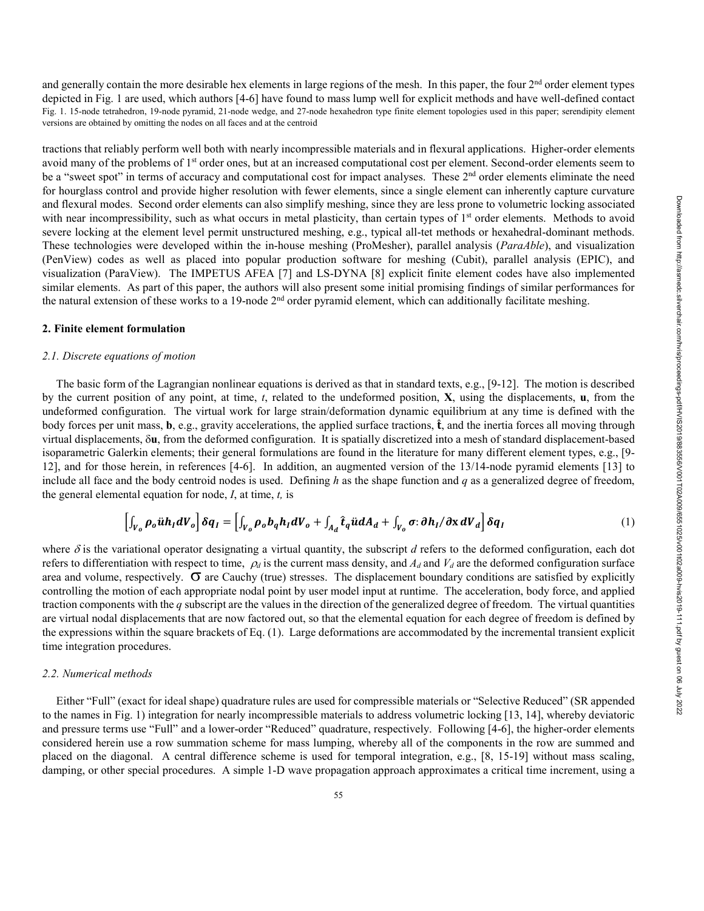and generally contain the more desirable hex elements in large regions of the mesh. In this paper, the four  $2<sup>nd</sup>$  order element types depicted in Fig. 1 are used, which authors [4-6] have found to mass lump well for explicit methods and have well-defined contact Fig. 1. 15-node tetrahedron, 19-node pyramid, 21-node wedge, and 27-node hexahedron type finite element topologies used in this paper; serendipity element versions are obtained by omitting the nodes on all faces and at the centroid

tractions that reliably perform well both with nearly incompressible materials and in flexural applications. Higher-order elements avoid many of the problems of 1<sup>st</sup> order ones, but at an increased computational cost per element. Second-order elements seem to be a "sweet spot" in terms of accuracy and computational cost for impact analyses. These 2<sup>nd</sup> order elements eliminate the need for hourglass control and provide higher resolution with fewer elements, since a single element can inherently capture curvature and flexural modes. Second order elements can also simplify meshing, since they are less prone to volumetric locking associated with near incompressibility, such as what occurs in metal plasticity, than certain types of  $1<sup>st</sup>$  order elements. Methods to avoid severe locking at the element level permit unstructured meshing, e.g., typical all-tet methods or hexahedral-dominant methods. These technologies were developed within the in-house meshing (ProMesher), parallel analysis (*ParaAble*), and visualization (PenView) codes as well as placed into popular production software for meshing (Cubit), parallel analysis (EPIC), and visualization (ParaView). The IMPETUS AFEA [7] and LS-DYNA [8] explicit finite element codes have also implemented similar elements. As part of this paper, the authors will also present some initial promising findings of similar performances for the natural extension of these works to a 19-node  $2<sup>nd</sup>$  order pyramid element, which can additionally facilitate meshing.

# **2. Finite element formulation**

### *2.1. Discrete equations of motion*

The basic form of the Lagrangian nonlinear equations is derived as that in standard texts, e.g., [9-12]. The motion is described by the current position of any point, at time, *t*, related to the undeformed position, **X**, using the displacements, **u**, from the undeformed configuration. The virtual work for large strain/deformation dynamic equilibrium at any time is defined with the body forces per unit mass, **b**, e.g., gravity accelerations, the applied surface tractions,  $\hat{\mathbf{t}}$ , and the inertia forces all moving through virtual displacements, δ**u**, from the deformed configuration. It is spatially discretized into a mesh of standard displacement-based isoparametric Galerkin elements; their general formulations are found in the literature for many different element types, e.g., [9- 12], and for those herein, in references [4-6]. In addition, an augmented version of the 13/14-node pyramid elements [13] to include all face and the body centroid nodes is used. Defining *h* as the shape function and *q* as a generalized degree of freedom, the general elemental equation for node, *I*, at time, *t,* is

$$
\left[\int_{V_o} \rho_o \ddot{u} h_I dV_o\right] \delta q_I = \left[\int_{V_o} \rho_o b_q h_I dV_o + \int_{A_d} \hat{t}_q \ddot{u} dA_d + \int_{V_o} \sigma : \partial h_I / \partial x dV_d\right] \delta q_I
$$
\n(1)

where  $\delta$  is the variational operator designating a virtual quantity, the subscript *d* refers to the deformed configuration, each dot refers to differentiation with respect to time,  $\rho_d$  is the current mass density, and  $A_d$  and  $V_d$  are the deformed configuration surface area and volume, respectively.  $\sigma$  are Cauchy (true) stresses. The displacement boundary conditions are satisfied by explicitly controlling the motion of each appropriate nodal point by user model input at runtime. The acceleration, body force, and applied traction components with the *q* subscript are the values in the direction of the generalized degree of freedom. The virtual quantities are virtual nodal displacements that are now factored out, so that the elemental equation for each degree of freedom is defined by the expressions within the square brackets of Eq. (1). Large deformations are accommodated by the incremental transient explicit time integration procedures.

# *2.2. Numerical methods*

Either "Full" (exact for ideal shape) quadrature rules are used for compressible materials or "Selective Reduced" (SR appended to the names in Fig. 1) integration for nearly incompressible materials to address volumetric locking [13, 14], whereby deviatoric and pressure terms use "Full" and a lower-order "Reduced" quadrature, respectively. Following [4-6], the higher-order elements considered herein use a row summation scheme for mass lumping, whereby all of the components in the row are summed and placed on the diagonal. A central difference scheme is used for temporal integration, e.g., [8, 15-19] without mass scaling, damping, or other special procedures. A simple 1-D wave propagation approach approximates a critical time increment, using a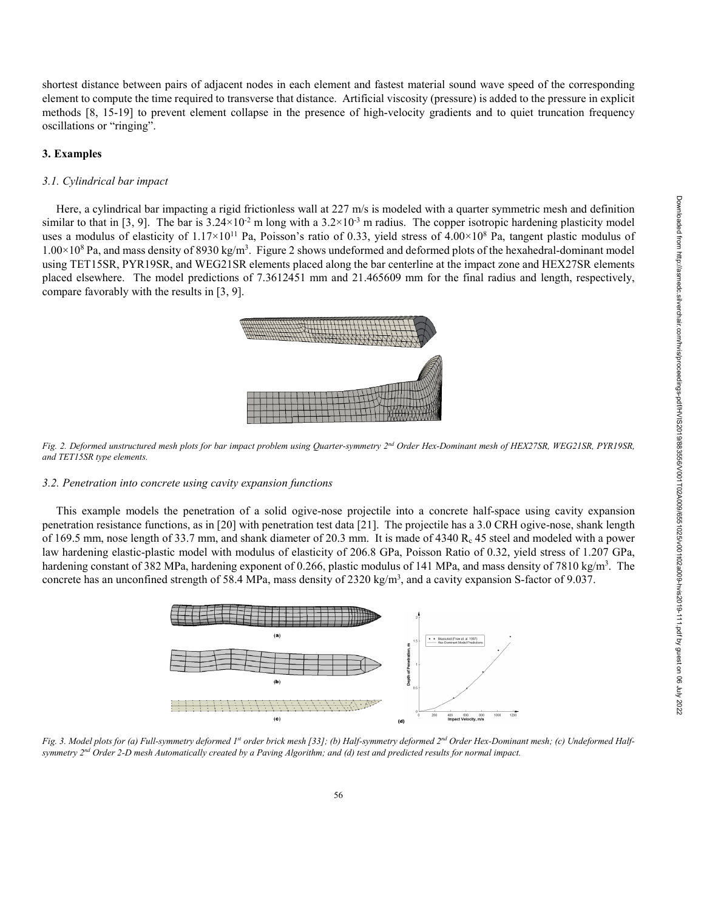shortest distance between pairs of adjacent nodes in each element and fastest material sound wave speed of the corresponding element to compute the time required to transverse that distance. Artificial viscosity (pressure) is added to the pressure in explicit methods [8, 15-19] to prevent element collapse in the presence of high-velocity gradients and to quiet truncation frequency oscillations or "ringing".

#### **3. Examples**

# *3.1. Cylindrical bar impact*

Here, a cylindrical bar impacting a rigid frictionless wall at 227 m/s is modeled with a quarter symmetric mesh and definition similar to that in [3, 9]. The bar is  $3.24 \times 10^{-2}$  m long with a  $3.2 \times 10^{-3}$  m radius. The copper isotropic hardening plasticity model uses a modulus of elasticity of  $1.17 \times 10^{11}$  Pa, Poisson's ratio of 0.33, yield stress of  $4.00 \times 10^8$  Pa, tangent plastic modulus of  $1.00\times10^8$  Pa, and mass density of 8930 kg/m<sup>3</sup>. Figure 2 shows undeformed and deformed plots of the hexahedral-dominant model using TET15SR, PYR19SR, and WEG21SR elements placed along the bar centerline at the impact zone and HEX27SR elements placed elsewhere. The model predictions of 7.3612451 mm and 21.465609 mm for the final radius and length, respectively, compare favorably with the results in [3, 9].



*Fig. 2. Deformed unstructured mesh plots for bar impact problem using Quarter-symmetry 2nd Order Hex-Dominant mesh of HEX27SR, WEG21SR, PYR19SR, and TET15SR type elements.*

#### *3.2. Penetration into concrete using cavity expansion functions*

This example models the penetration of a solid ogive-nose projectile into a concrete half-space using cavity expansion penetration resistance functions, as in [20] with penetration test data [21]. The projectile has a 3.0 CRH ogive-nose, shank length of 169.5 mm, nose length of 33.7 mm, and shank diameter of 20.3 mm. It is made of  $4340 R<sub>c</sub> 45$  steel and modeled with a power law hardening elastic-plastic model with modulus of elasticity of 206.8 GPa, Poisson Ratio of 0.32, yield stress of 1.207 GPa, hardening constant of 382 MPa, hardening exponent of 0.266, plastic modulus of 141 MPa, and mass density of 7810 kg/m<sup>3</sup>. The concrete has an unconfined strength of 58.4 MPa, mass density of 2320 kg/m<sup>3</sup>, and a cavity expansion S-factor of 9.037.



*Fig. 3. Model plots for (a) Full-symmetry deformed 1st order brick mesh [33]; (b) Half-symmetry deformed 2nd Order Hex-Dominant mesh; (c) Undeformed Halfsymmetry 2nd Order 2-D mesh Automatically created by a Paving Algorithm; and (d) test and predicted results for normal impact.*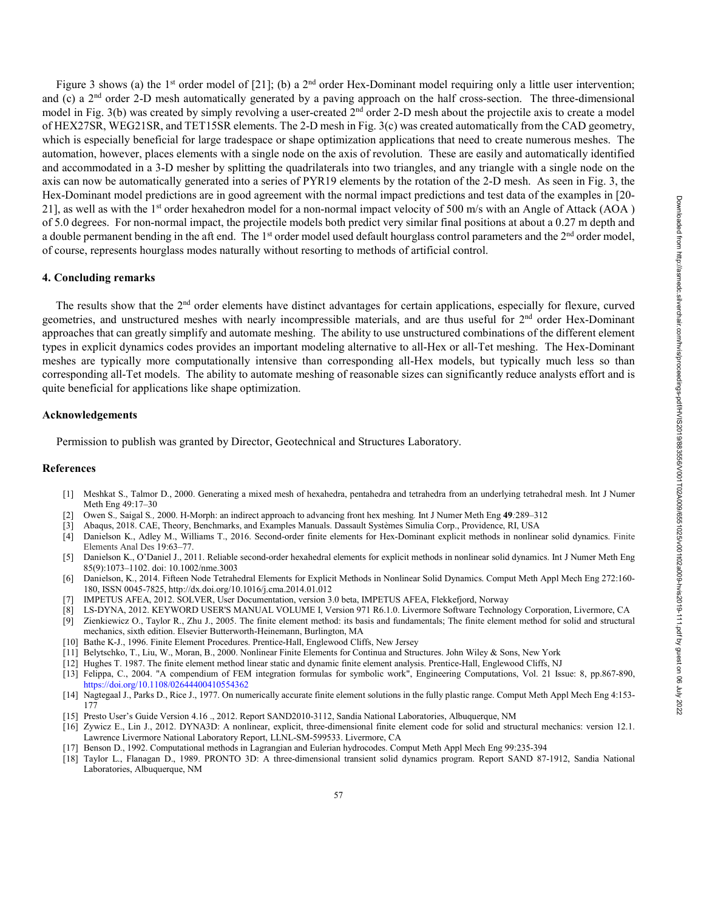Figure 3 shows (a) the 1<sup>st</sup> order model of [21]; (b) a 2<sup>nd</sup> order Hex-Dominant model requiring only a little user intervention; and (c) a  $2<sup>nd</sup>$  order 2-D mesh automatically generated by a paving approach on the half cross-section. The three-dimensional model in Fig. 3(b) was created by simply revolving a user-created  $2<sup>nd</sup>$  order 2-D mesh about the projectile axis to create a model of HEX27SR, WEG21SR, and TET15SR elements. The 2-D mesh in Fig. 3(c) was created automatically from the CAD geometry, which is especially beneficial for large tradespace or shape optimization applications that need to create numerous meshes. The automation, however, places elements with a single node on the axis of revolution. These are easily and automatically identified and accommodated in a 3-D mesher by splitting the quadrilaterals into two triangles, and any triangle with a single node on the axis can now be automatically generated into a series of PYR19 elements by the rotation of the 2-D mesh. As seen in Fig. 3, the Hex-Dominant model predictions are in good agreement with the normal impact predictions and test data of the examples in [20- 21], as well as with the 1<sup>st</sup> order hexahedron model for a non-normal impact velocity of 500 m/s with an Angle of Attack (AOA) of 5.0 degrees. For non-normal impact, the projectile models both predict very similar final positions at about a 0.27 m depth and a double permanent bending in the aft end. The  $1<sup>st</sup>$  order model used default hourglass control parameters and the  $2<sup>nd</sup>$  order model, of course, represents hourglass modes naturally without resorting to methods of artificial control.

# **4. Concluding remarks**

The results show that the 2<sup>nd</sup> order elements have distinct advantages for certain applications, especially for flexure, curved geometries, and unstructured meshes with nearly incompressible materials, and are thus useful for  $2<sup>nd</sup>$  order Hex-Dominant approaches that can greatly simplify and automate meshing. The ability to use unstructured combinations of the different element types in explicit dynamics codes provides an important modeling alternative to all-Hex or all-Tet meshing. The Hex-Dominant meshes are typically more computationally intensive than corresponding all-Hex models, but typically much less so than corresponding all-Tet models. The ability to automate meshing of reasonable sizes can significantly reduce analysts effort and is quite beneficial for applications like shape optimization.

### **Acknowledgements**

Permission to publish was granted by Director, Geotechnical and Structures Laboratory.

#### **References**

- [1] Meshkat S., Talmor D., 2000. Generating a mixed mesh of hexahedra, pentahedra and tetrahedra from an underlying tetrahedral mesh. Int J Numer Meth Eng 49:17–30
- [2] Owen S.*,* Saigal S*.,* 2000. H-Morph: an indirect approach to advancing front hex meshing*.* Int J Numer Meth Eng **49***:*289*–*312
- [3] Abaqus, 2018. CAE, Theory, Benchmarks, and Examples Manuals. Dassault Systèmes Simulia Corp., Providence, RI, USA
- [4] Danielson K., Adley M., Williams T., 2016. Second-order finite elements for Hex-Dominant explicit methods in nonlinear solid dynamics. Finite Elements Anal Des 19:63–77.
- [5] Danielson K., O'Daniel J., 2011. Reliable second-order hexahedral elements for explicit methods in nonlinear solid dynamics. Int J Numer Meth Eng 85(9):1073–1102. doi: 10.1002/nme.3003
- [6] Danielson, K., 2014. Fifteen Node Tetrahedral Elements for Explicit Methods in Nonlinear Solid Dynamics. Comput Meth Appl Mech Eng 272:160- 180, ISSN 0045-7825, http://dx.doi.org/10.1016/j.cma.2014.01.012
- [7] IMPETUS AFEA, 2012. SOLVER, User Documentation, version 3.0 beta, IMPETUS AFEA, Flekkefjord, Norway
- [8] LS-DYNA, 2012. KEYWORD USER'S MANUAL VOLUME I, Version 971 R6.1.0. Livermore Software Technology Corporation, Livermore, CA
- [9] Zienkiewicz O., Taylor R., Zhu J., 2005. The finite element method: its basis and fundamentals; The finite element method for solid and structural mechanics, sixth edition. Elsevier Butterworth-Heinemann, Burlington, MA
- [10] Bathe K-J., 1996. Finite Element Procedures. Prentice-Hall, Englewood Cliffs, New Jersey
- [11] Belytschko, T., Liu, W., Moran, B., 2000. Nonlinear Finite Elements for Continua and Structures. John Wiley & Sons, New York
- [12] Hughes T. 1987. The finite element method linear static and dynamic finite element analysis. Prentice-Hall, Englewood Cliffs, NJ
- [13] Felippa, C., 2004. "A compendium of FEM integration formulas for symbolic work", Engineering Computations, Vol. 21 Issue: 8, pp.867-890, https://doi.org/10.1108/02644400410554362
- [14] Nagtegaal J., Parks D., Rice J., 1977. On numerically accurate finite element solutions in the fully plastic range. Comput Meth Appl Mech Eng 4:153- 177
- [15] Presto User's Guide Version 4.16 ., 2012. Report SAND2010-3112, Sandia National Laboratories, Albuquerque, NM
- [16] Zywicz E., Lin J., 2012. DYNA3D: A nonlinear, explicit, three-dimensional finite element code for solid and structural mechanics: version 12.1. Lawrence Livermore National Laboratory Report, LLNL-SM-599533. Livermore, CA
- [17] Benson D., 1992. Computational methods in Lagrangian and Eulerian hydrocodes. Comput Meth Appl Mech Eng 99:235-394
- [18] Taylor L., Flanagan D., 1989. PRONTO 3D: A three-dimensional transient solid dynamics program. Report SAND 87-1912, Sandia National Laboratories, Albuquerque, NM